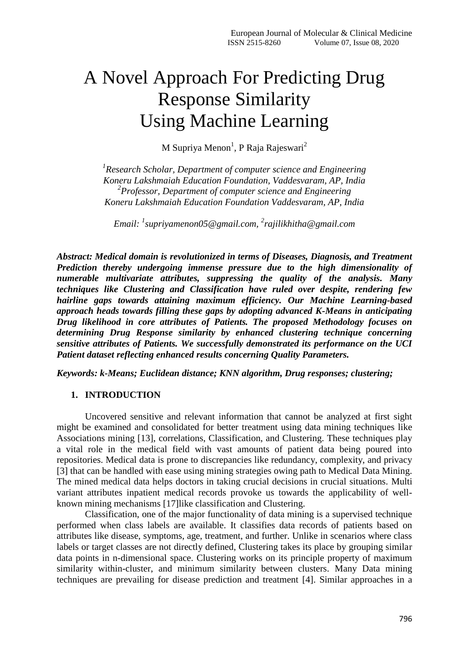# A Novel Approach For Predicting Drug Response Similarity Using Machine Learning

M Supriya Menon<sup>1</sup>, P Raja Rajeswari<sup>2</sup>

*1 Research Scholar, Department of computer science and Engineering Koneru Lakshmaiah Education Foundation, Vaddesvaram, AP, India 2 Professor, Department of computer science and Engineering Koneru Lakshmaiah Education Foundation Vaddesvaram, AP, India*

*Email: <sup>1</sup> [supriyamenon05@gmail.com,](mailto:supriyamenon05@gmail.com) 2 rajilikhitha@gmail.com*

*Abstract: Medical domain is revolutionized in terms of Diseases, Diagnosis, and Treatment Prediction thereby undergoing immense pressure due to the high dimensionality of numerable multivariate attributes, suppressing the quality of the analysis. Many techniques like Clustering and Classification have ruled over despite, rendering few hairline gaps towards attaining maximum efficiency. Our Machine Learning-based approach heads towards filling these gaps by adopting advanced K-Means in anticipating Drug likelihood in core attributes of Patients. The proposed Methodology focuses on determining Drug Response similarity by enhanced clustering technique concerning sensitive attributes of Patients. We successfully demonstrated its performance on the UCI Patient dataset reflecting enhanced results concerning Quality Parameters.*

*Keywords: k-Means; Euclidean distance; KNN algorithm, Drug responses; clustering;*

## **1. INTRODUCTION**

Uncovered sensitive and relevant information that cannot be analyzed at first sight might be examined and consolidated for better treatment using data mining techniques like Associations mining [13], correlations, Classification, and Clustering. These techniques play a vital role in the medical field with vast amounts of patient data being poured into repositories. Medical data is prone to discrepancies like redundancy, complexity, and privacy [3] that can be handled with ease using mining strategies owing path to Medical Data Mining. The mined medical data helps doctors in taking crucial decisions in crucial situations. Multi variant attributes inpatient medical records provoke us towards the applicability of wellknown mining mechanisms [17]like classification and Clustering.

Classification, one of the major functionality of data mining is a supervised technique performed when class labels are available. It classifies data records of patients based on attributes like disease, symptoms, age, treatment, and further. Unlike in scenarios where class labels or target classes are not directly defined, Clustering takes its place by grouping similar data points in n-dimensional space. Clustering works on its principle property of maximum similarity within-cluster, and minimum similarity between clusters. Many Data mining techniques are prevailing for disease prediction and treatment [4]. Similar approaches in a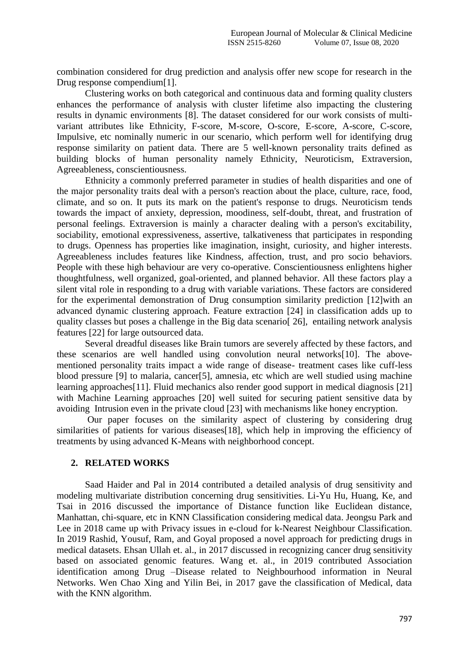combination considered for drug prediction and analysis offer new scope for research in the Drug response compendium[1].

Clustering works on both categorical and continuous data and forming quality clusters enhances the performance of analysis with cluster lifetime also impacting the clustering results in dynamic environments [8]. The dataset considered for our work consists of multivariant attributes like Ethnicity, F-score, M-score, O-score, E-score, A-score, C-score, Impulsive, etc nominally numeric in our scenario, which perform well for identifying drug response similarity on patient data. There are 5 well-known personality traits defined as building blocks of human personality namely Ethnicity, Neuroticism, Extraversion, Agreeableness, conscientiousness.

Ethnicity a commonly preferred parameter in studies of health disparities and one of the major personality traits deal with a person's reaction about the place, culture, race, food, climate, and so on. It puts its mark on the patient's response to drugs. Neuroticism tends towards the impact of anxiety, depression, moodiness, self-doubt, threat, and frustration of personal feelings. Extraversion is mainly a character dealing with a person's excitability, sociability, emotional expressiveness, assertive, talkativeness that participates in responding to drugs. Openness has properties like imagination, insight, curiosity, and higher interests. Agreeableness includes features like Kindness, affection, trust, and pro socio behaviors. People with these high behaviour are very co-operative. Conscientiousness enlightens higher thoughtfulness, well organized, goal-oriented, and planned behavior. All these factors play a silent vital role in responding to a drug with variable variations. These factors are considered for the experimental demonstration of Drug consumption similarity prediction [12]with an advanced dynamic clustering approach. Feature extraction [24] in classification adds up to quality classes but poses a challenge in the Big data scenario[ 26], entailing network analysis features [22] for large outsourced data.

Several dreadful diseases like Brain tumors are severely affected by these factors, and these scenarios are well handled using convolution neural networks[10]. The abovementioned personality traits impact a wide range of disease- treatment cases like cuff-less blood pressure [9] to malaria, cancer[5], amnesia, etc which are well studied using machine learning approaches[11]. Fluid mechanics also render good support in medical diagnosis [21] with Machine Learning approaches [20] well suited for securing patient sensitive data by avoiding Intrusion even in the private cloud [23] with mechanisms like honey encryption.

Our paper focuses on the similarity aspect of clustering by considering drug similarities of patients for various diseases[18], which help in improving the efficiency of treatments by using advanced K-Means with neighborhood concept.

## **2. RELATED WORKS**

Saad Haider and Pal in 2014 contributed a detailed analysis of drug sensitivity and modeling multivariate distribution concerning drug sensitivities. Li-Yu Hu, Huang, Ke, and Tsai in 2016 discussed the importance of Distance function like Euclidean distance, Manhattan, chi-square, etc in KNN Classification considering medical data. Jeongsu Park and Lee in 2018 came up with Privacy issues in e-cloud for k-Nearest Neighbour Classification. In 2019 Rashid, Yousuf, Ram, and Goyal proposed a novel approach for predicting drugs in medical datasets. Ehsan Ullah et. al., in 2017 discussed in recognizing cancer drug sensitivity based on associated genomic features. Wang et. al., in 2019 contributed Association identification among Drug –Disease related to Neighbourhood information in Neural Networks. Wen Chao Xing and Yilin Bei, in 2017 gave the classification of Medical, data with the KNN algorithm.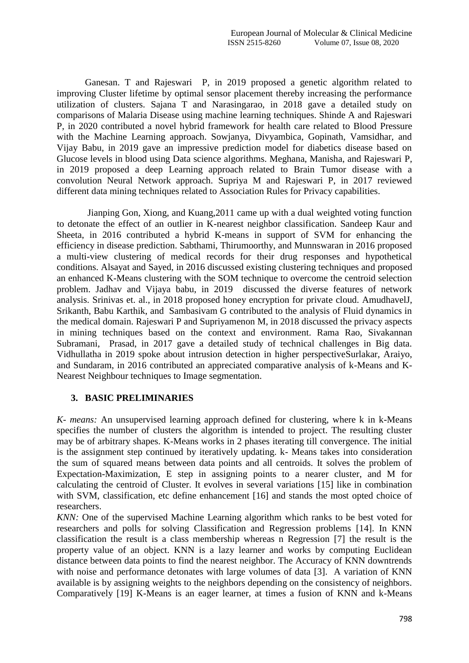Ganesan. T and Rajeswari P, in 2019 proposed a genetic algorithm related to improving Cluster lifetime by optimal sensor placement thereby increasing the performance utilization of clusters. Sajana T and Narasingarao, in 2018 gave a detailed study on comparisons of Malaria Disease using machine learning techniques. Shinde A and Rajeswari P, in 2020 contributed a novel hybrid framework for health care related to Blood Pressure with the Machine Learning approach. Sowjanya, Divyambica, Gopinath, Vamsidhar, and Vijay Babu, in 2019 gave an impressive prediction model for diabetics disease based on Glucose levels in blood using Data science algorithms. Meghana, Manisha, and Rajeswari P, in 2019 proposed a deep Learning approach related to Brain Tumor disease with a convolution Neural Network approach. Supriya M and Rajeswari P, in 2017 reviewed different data mining techniques related to Association Rules for Privacy capabilities.

Jianping Gon, Xiong, and Kuang,2011 came up with a dual weighted voting function to detonate the effect of an outlier in K-nearest neighbor classification. Sandeep Kaur and Sheeta, in 2016 contributed a hybrid K-means in support of SVM for enhancing the efficiency in disease prediction. Sabthami, Thirumoorthy, and Munnswaran in 2016 proposed a multi-view clustering of medical records for their drug responses and hypothetical conditions. Alsayat and Sayed, in 2016 discussed existing clustering techniques and proposed an enhanced K-Means clustering with the SOM technique to overcome the centroid selection problem. Jadhav and Vijaya babu, in 2019 discussed the diverse features of network analysis. Srinivas et. al., in 2018 proposed honey encryption for private cloud. AmudhavelJ, Srikanth, Babu Karthik, and Sambasivam G contributed to the analysis of Fluid dynamics in the medical domain. Rajeswari P and Supriyamenon M, in 2018 discussed the privacy aspects in mining techniques based on the context and environment. Rama Rao, [Sivakannan](https://www.researchgate.net/profile/Sivakannan_Subramani?_sg%5B0%5D=_fIuXJtKq3zrITkGvJY2T_0ZKVPJSmTxKKHtjvCecR_1HChWWBKLgSqIq8wJ2r8khID2PjA.szoiYN4aedVT-U2SYeFRaLv66sk1oUlJRGQdPYpkOe7u2B-gjkyIjh6dbxFBn9weez5XI-AwAwDVGG_BPNhNKQ&_sg%5B1%5D=OBS0m4yrneA1_9bCXOIzQA1GNBCn871jzBFeskkdKv8PChVdlW7XsVm1bZGLdZcq7shUDf4.PT3KXTC5m5vFRrfsZA409n06tF7-xo7psvgx3QKDclMNC9kOi_C-IYdSUlkB5hO_vlKt7IfVss-UsF8d_iCe6g)  [Subramani,](https://www.researchgate.net/profile/Sivakannan_Subramani?_sg%5B0%5D=_fIuXJtKq3zrITkGvJY2T_0ZKVPJSmTxKKHtjvCecR_1HChWWBKLgSqIq8wJ2r8khID2PjA.szoiYN4aedVT-U2SYeFRaLv66sk1oUlJRGQdPYpkOe7u2B-gjkyIjh6dbxFBn9weez5XI-AwAwDVGG_BPNhNKQ&_sg%5B1%5D=OBS0m4yrneA1_9bCXOIzQA1GNBCn871jzBFeskkdKv8PChVdlW7XsVm1bZGLdZcq7shUDf4.PT3KXTC5m5vFRrfsZA409n06tF7-xo7psvgx3QKDclMNC9kOi_C-IYdSUlkB5hO_vlKt7IfVss-UsF8d_iCe6g) [Prasad,](https://www.researchgate.net/scientific-contributions/2140513788-MA-Prasad?_sg%5B0%5D=_fIuXJtKq3zrITkGvJY2T_0ZKVPJSmTxKKHtjvCecR_1HChWWBKLgSqIq8wJ2r8khID2PjA.szoiYN4aedVT-U2SYeFRaLv66sk1oUlJRGQdPYpkOe7u2B-gjkyIjh6dbxFBn9weez5XI-AwAwDVGG_BPNhNKQ&_sg%5B1%5D=OBS0m4yrneA1_9bCXOIzQA1GNBCn871jzBFeskkdKv8PChVdlW7XsVm1bZGLdZcq7shUDf4.PT3KXTC5m5vFRrfsZA409n06tF7-xo7psvgx3QKDclMNC9kOi_C-IYdSUlkB5hO_vlKt7IfVss-UsF8d_iCe6g) in 2017 gave a detailed study of technical challenges in Big data. Vidhullatha in 2019 spoke about intrusion detection in higher perspectiveSurlakar, Araiyo, and Sundaram, in 2016 contributed an appreciated comparative analysis of k-Means and K-Nearest Neighbour techniques to Image segmentation.

#### **3. BASIC PRELIMINARIES**

*K- means:* An unsupervised learning approach defined for clustering, where k in k-Means specifies the number of clusters the algorithm is intended to project. The resulting cluster may be of arbitrary shapes. K-Means works in 2 phases iterating till convergence. The initial is the assignment step continued by iteratively updating. k- Means takes into consideration the sum of squared means between data points and all centroids. It solves the problem of Expectation-Maximization, E step in assigning points to a nearer cluster, and M for calculating the centroid of Cluster. It evolves in several variations [15] like in combination with SVM, classification, etc define enhancement [16] and stands the most opted choice of researchers.

*KNN*: One of the supervised Machine Learning algorithm which ranks to be best voted for researchers and polls for solving Classification and Regression problems [14]. In KNN classification the result is a class membership whereas n Regression [7] the result is the property value of an object. KNN is a lazy learner and works by computing Euclidean distance between data points to find the nearest neighbor. The Accuracy of KNN downtrends with noise and performance detonates with large volumes of data [3]. A variation of KNN available is by assigning weights to the neighbors depending on the consistency of neighbors. Comparatively [19] K-Means is an eager learner, at times a fusion of KNN and k-Means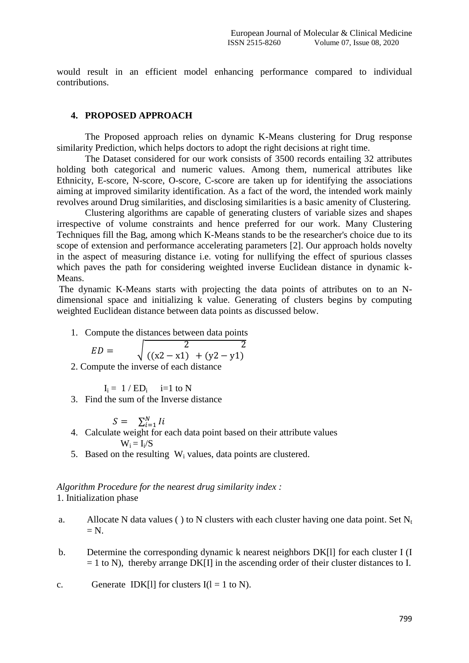would result in an efficient model enhancing performance compared to individual contributions.

#### **4. PROPOSED APPROACH**

The Proposed approach relies on dynamic K-Means clustering for Drug response similarity Prediction, which helps doctors to adopt the right decisions at right time.

The Dataset considered for our work consists of 3500 records entailing 32 attributes holding both categorical and numeric values. Among them, numerical attributes like Ethnicity, E-score, N-score, O-score, C-score are taken up for identifying the associations aiming at improved similarity identification. As a fact of the word, the intended work mainly revolves around Drug similarities, and disclosing similarities is a basic amenity of Clustering.

Clustering algorithms are capable of generating clusters of variable sizes and shapes irrespective of volume constraints and hence preferred for our work. Many Clustering Techniques fill the Bag, among which K-Means stands to be the researcher's choice due to its scope of extension and performance accelerating parameters [2]. Our approach holds novelty in the aspect of measuring distance i.e. voting for nullifying the effect of spurious classes which paves the path for considering weighted inverse Euclidean distance in dynamic k-Means.

The dynamic K-Means starts with projecting the data points of attributes on to an Ndimensional space and initializing k value. Generating of clusters begins by computing weighted Euclidean distance between data points as discussed below.

1. Compute the distances between data points

$$
ED = \sqrt{\frac{2}{((x2 - x1) + (y2 - y1))}}
$$

2. Compute the inverse of each distance

 $I_i = 1 / ED_i$  i=1 to N

3. Find the sum of the Inverse distance

$$
S = \sum_{i=1}^{N} I_i
$$

- 4. Calculate weight for each data point based on their attribute values  $W_i = I_i/S$
- 5. Based on the resulting  $W_i$  values, data points are clustered.

## *Algorithm Procedure for the nearest drug similarity index :* 1. Initialization phase

- a. Allocate N data values ( ) to N clusters with each cluster having one data point. Set  $N_t$  $=$  N.
- b. Determine the corresponding dynamic k nearest neighbors DK[l] for each cluster I (I  $= 1$  to N), thereby arrange DK[I] in the ascending order of their cluster distances to I.

c. Generate 
$$
IDK[1]
$$
 for clusters  $I(1 = 1$  to N).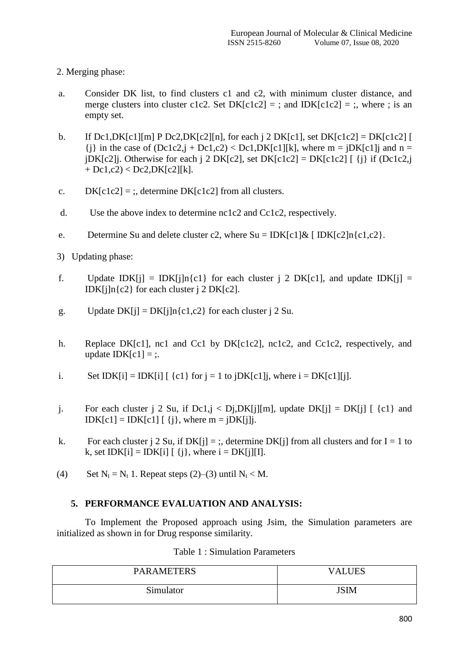- 2. Merging phase:
- a. Consider DK list, to find clusters c1 and c2, with minimum cluster distance, and merge clusters into cluster c1c2. Set  $DK[c1c2] =$ ; and  $IDK[c1c2] =$ ; where; is an empty set.
- b. If Dc1,DK[c1][m] P Dc2,DK[c2][n], for each  $i$  2 DK[c1], set DK[c1c2] = DK[c1c2] [  ${j}$  in the case of  $(Dc1c2,j + Dc1,c2) < Dc1, DK[c1][k]$ , where  $m = jDK[c1]j$  and  $n = j$  $jDK[c2]$ j. Otherwise for each j 2 DK $[c2]$ , set DK $[c1c2] = DK[c1c2]$  [ {j} if (Dc1c2,j  $+$  Dc1,c2)  $<$  Dc2, DK[c2][k].
- c.  $DK[c1c2] =$ ; determine DK $[c1c2]$  from all clusters.
- d. Use the above index to determine nc1c2 and Cc1c2, respectively.
- e. Determine Su and delete cluster c2, where  $Su = IDK[c1] & [DK[c2]n{c1,c2}$ .
- 3) Updating phase:
- f. Update IDK[j] = IDK[j]n{c1} for each cluster j 2 DK[c1], and update IDK[j] = IDK $[i]n\{c2\}$  for each cluster  $i$  2 DK $[c2]$ .
- g. Update  $DK[j] = DK[j]n\{c1, c2\}$  for each cluster j 2 Su.
- h. Replace DK[c1], nc1 and Cc1 by DK[c1c2], nc1c2, and Cc1c2, respectively, and update  $IDK[c1] =$ :
- i. Set IDK[i] = IDK[i]  $\lceil \{c1\} \rceil$  for  $j = 1$  to  $\lceil \frac{D}{C} \rceil$ ], where  $i = \lceil \frac{D}{C} \rceil$ ][i].
- j. For each cluster j 2 Su, if  $Dc1$ ,  $\leq Dj$ ,  $DK[i][m]$ , update  $DK[i] = DK[i]$  [  $\{c1\}$  and  $IDK[c1] = IDK[c1] [i], where m = jDK[i].$
- k. For each cluster j 2 Su, if  $DK[j] =$ ; determine  $DK[j]$  from all clusters and for I = 1 to k, set  $IDK[i] = IDK[i]$  [ {i}, where  $i = DK[i][I]$ .
- (4) Set  $N_t = N_t$  1. Repeat steps (2)–(3) until  $N_t < M$ .

## **5. PERFORMANCE EVALUATION AND ANALYSIS:**

To Implement the Proposed approach using Jsim, the Simulation parameters are initialized as shown in for Drug response similarity.

| <b>PARAMETERS</b> | <b>VALUES</b> |
|-------------------|---------------|
| Simulator         | <b>JSIM</b>   |

#### Table 1 : Simulation Parameters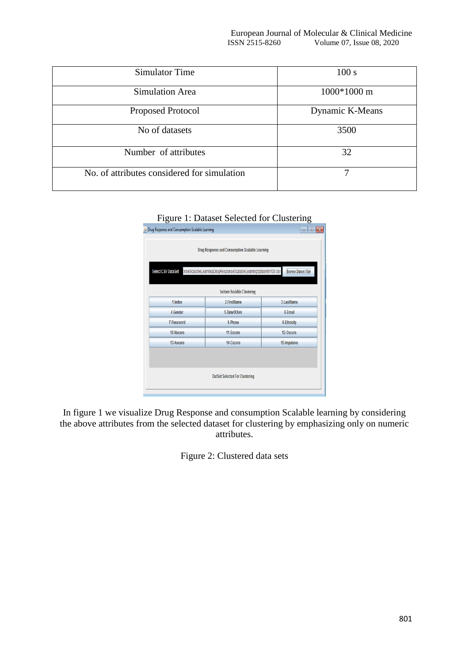| Simulator Time                              | 100 s           |
|---------------------------------------------|-----------------|
| <b>Simulation Area</b>                      | $1000*1000$ m   |
| Proposed Protocol                           | Dynamic K-Means |
| No of datasets                              | 3500            |
| Number of attributes                        | 32              |
| No. of attributes considered for simulation | ┑               |

| <b>E</b> Drug Response and Consumption Scalable Learning |                                                                    | $\overline{\mathbf{x}}$<br>٣e<br>$\Box$ |
|----------------------------------------------------------|--------------------------------------------------------------------|-----------------------------------------|
|                                                          | Drug Response and Consumption Scalable Learning                    |                                         |
| <b>Select CSV DataSet</b>                                | onseScalableLearning\DrugResponseScalableLearning\datasets\100.csv | <b>Browse Datset File</b>               |

**Initiate Scalable Clustering** 2-FirstName

5-DateOfJoin

8-Phone

11-Escore

14-Cscore

DatSet Selected For Clustering

1-Index

4-Gender

7-Password

10-Nscore 13-Ascore

3-LastName

6-Email

9-Ethnicity

12-Oscore

15-Impulsive

| Figure 1: Dataset Selected for Clustering |
|-------------------------------------------|
|-------------------------------------------|

In figure 1 we visualize Drug Response and consumption Scalable learning by considering the above attributes from the selected dataset for clustering by emphasizing only on numeric attributes.

Figure 2: Clustered data sets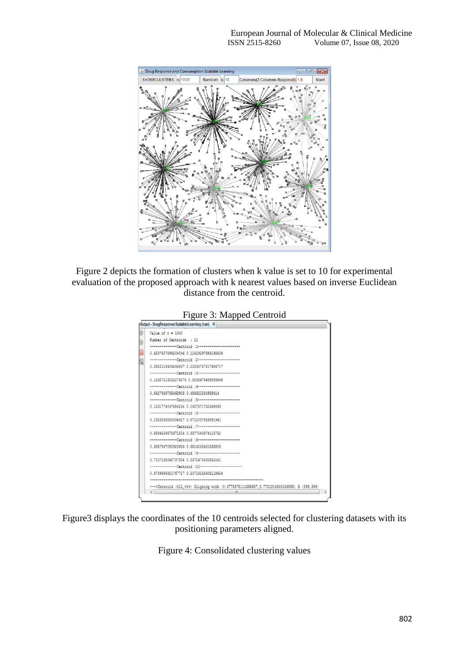

Figure 2 depicts the formation of clusters when k value is set to 10 for experimental evaluation of the proposed approach with k nearest values based on inverse Euclidean distance from the centroid.



Figure3 displays the coordinates of the 10 centroids selected for clustering datasets with its positioning parameters aligned.

Figure 4: Consolidated clustering values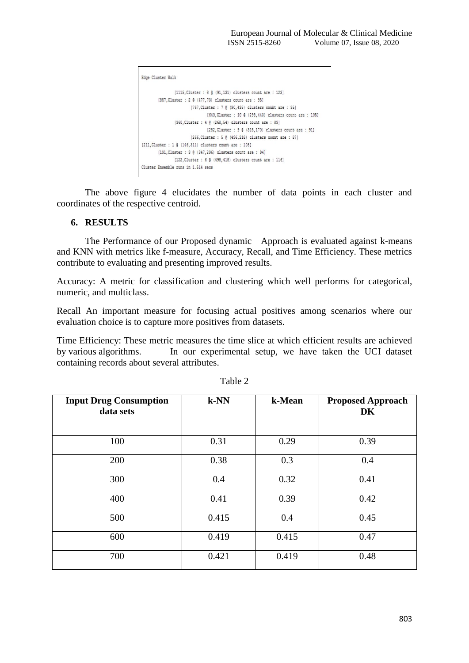```
Edge Cluster Walk
                [1115, Cluster : 8 @ (91, 131) clusters count are : 123]
        [857, Cluster : 2 @ (477, 73) clusters count are : 95]
                      [767, Cluster : 7 @ (90, 438) clusters count are : 95]
                               [640, Cluster : 10 @ (298, 443) clusters count are : 105]
               [360, Cluster : 4 @ (268, 54) clusters count are : 89]
                                [282, Cluster : 9 @ (315, 170) clusters count are : 91]
                        [266, Cluster : 5 @ (496, 218) clusters count are : 87]
[211.Cluster : 1 @ (146.311) clusters count are : 105]
        [191, Cluster : 3 @ (347, 296) clusters count are : 94]
              [122, Cluster : 6 @ (498, 418) clusters count are : 116]
Cluster Ensemble runs in 1.514 secs
```
The above figure 4 elucidates the number of data points in each cluster and coordinates of the respective centroid.

## **6. RESULTS**

The Performance of our Proposed dynamic Approach is evaluated against k-means and KNN with metrics like f-measure, Accuracy, Recall, and Time Efficiency. These metrics contribute to evaluating and presenting improved results.

Accuracy: A metric for classification and clustering which well performs for categorical, numeric, and multiclass.

Recall An important measure for focusing actual positives among scenarios where our evaluation choice is to capture more positives from datasets.

Time Efficiency: These metric measures the time slice at which efficient results are achieved by various algorithms. In our experimental setup, we have taken the UCI dataset containing records about several attributes.

| <b>Input Drug Consumption</b><br>data sets | $k-NN$ | k-Mean | <b>Proposed Approach</b><br>DK |
|--------------------------------------------|--------|--------|--------------------------------|
| 100                                        | 0.31   | 0.29   | 0.39                           |
| 200                                        | 0.38   | 0.3    | 0.4                            |
| 300                                        | 0.4    | 0.32   | 0.41                           |
| 400                                        | 0.41   | 0.39   | 0.42                           |
| 500                                        | 0.415  | 0.4    | 0.45                           |
| 600                                        | 0.419  | 0.415  | 0.47                           |
| 700                                        | 0.421  | 0.419  | 0.48                           |

Table 2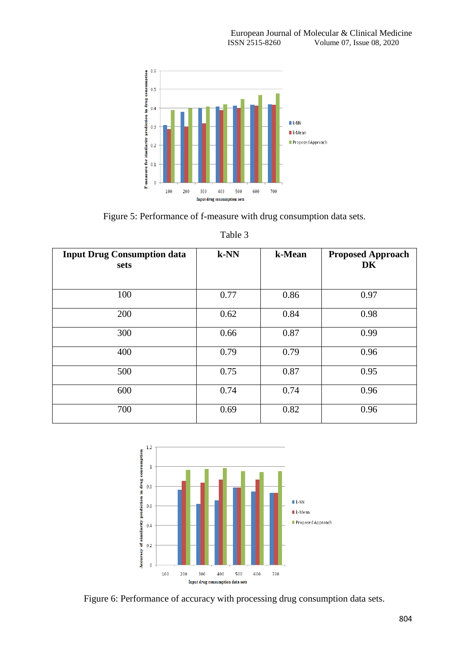

Figure 5: Performance of f-measure with drug consumption data sets.

| <b>Input Drug Consumption data</b><br>sets | k-NN | k-Mean | <b>Proposed Approach</b><br>DK |
|--------------------------------------------|------|--------|--------------------------------|
| 100                                        | 0.77 | 0.86   | 0.97                           |
| 200                                        | 0.62 | 0.84   | 0.98                           |
| 300                                        | 0.66 | 0.87   | 0.99                           |
| 400                                        | 0.79 | 0.79   | 0.96                           |
| 500                                        | 0.75 | 0.87   | 0.95                           |
| 600                                        | 0.74 | 0.74   | 0.96                           |
| 700                                        | 0.69 | 0.82   | 0.96                           |

Table 3



Figure 6: Performance of accuracy with processing drug consumption data sets.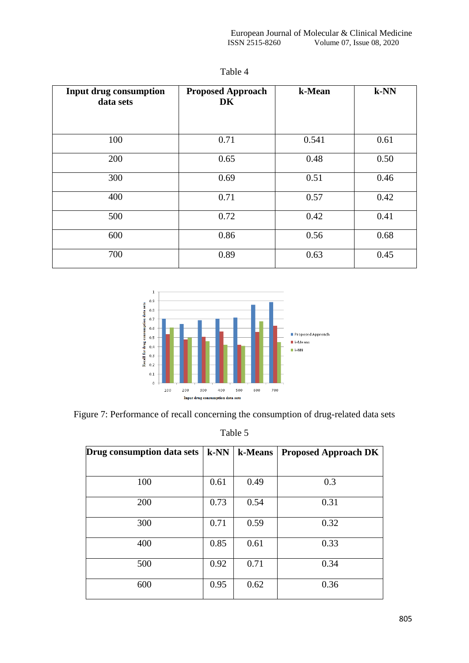| <b>Input drug consumption</b><br>data sets | <b>Proposed Approach</b><br>DK | k-Mean | $k-NN$ |
|--------------------------------------------|--------------------------------|--------|--------|
| 100                                        | 0.71                           | 0.541  | 0.61   |
| 200                                        | 0.65                           | 0.48   | 0.50   |
| 300                                        | 0.69                           | 0.51   | 0.46   |
| 400                                        | 0.71                           | 0.57   | 0.42   |
| 500                                        | 0.72                           | 0.42   | 0.41   |
| 600                                        | 0.86                           | 0.56   | 0.68   |
| 700                                        | 0.89                           | 0.63   | 0.45   |

Table 4



Figure 7: Performance of recall concerning the consumption of drug-related data sets

Table 5

| Drug consumption data sets | $k-NN$ | k-Means | <b>Proposed Approach DK</b> |
|----------------------------|--------|---------|-----------------------------|
| 100                        | 0.61   | 0.49    | 0.3                         |
| 200                        | 0.73   | 0.54    | 0.31                        |
| 300                        | 0.71   | 0.59    | 0.32                        |
| 400                        | 0.85   | 0.61    | 0.33                        |
| 500                        | 0.92   | 0.71    | 0.34                        |
| 600                        | 0.95   | 0.62    | 0.36                        |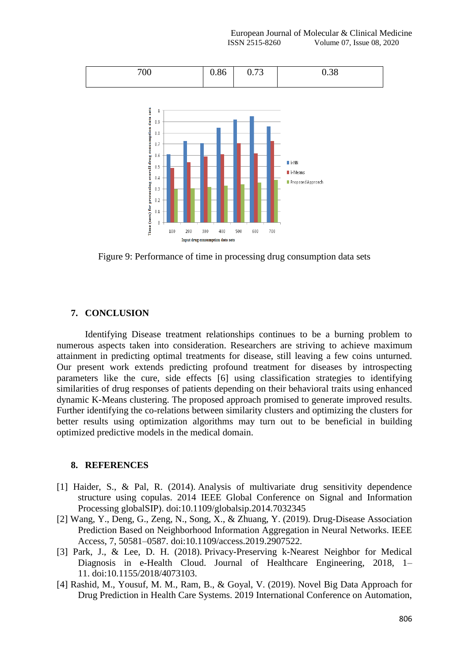

Figure 9: Performance of time in processing drug consumption data sets

# **7. CONCLUSION**

Identifying Disease treatment relationships continues to be a burning problem to numerous aspects taken into consideration. Researchers are striving to achieve maximum attainment in predicting optimal treatments for disease, still leaving a few coins unturned. Our present work extends predicting profound treatment for diseases by introspecting parameters like the cure, side effects [6] using classification strategies to identifying similarities of drug responses of patients depending on their behavioral traits using enhanced dynamic K-Means clustering. The proposed approach promised to generate improved results. Further identifying the co-relations between similarity clusters and optimizing the clusters for better results using optimization algorithms may turn out to be beneficial in building optimized predictive models in the medical domain.

#### **8. REFERENCES**

- [1] Haider, S., & Pal, R. (2014). Analysis of multivariate drug sensitivity dependence structure using copulas. 2014 IEEE Global Conference on Signal and Information Processing globalSIP). doi:10.1109/globalsip.2014.7032345
- [2] Wang, Y., Deng, G., Zeng, N., Song, X., & Zhuang, Y. (2019). Drug-Disease Association Prediction Based on Neighborhood Information Aggregation in Neural Networks. IEEE Access, 7, 50581–0587. doi:10.1109/access.2019.2907522.
- [3] Park, J., & Lee, D. H. (2018). Privacy-Preserving k-Nearest Neighbor for Medical Diagnosis in e-Health Cloud. Journal of Healthcare Engineering, 2018, 1– 11. doi:10.1155/2018/4073103.
- [4] Rashid, M., Yousuf, M. M., Ram, B., & Goyal, V. (2019). Novel Big Data Approach for Drug Prediction in Health Care Systems. 2019 International Conference on Automation,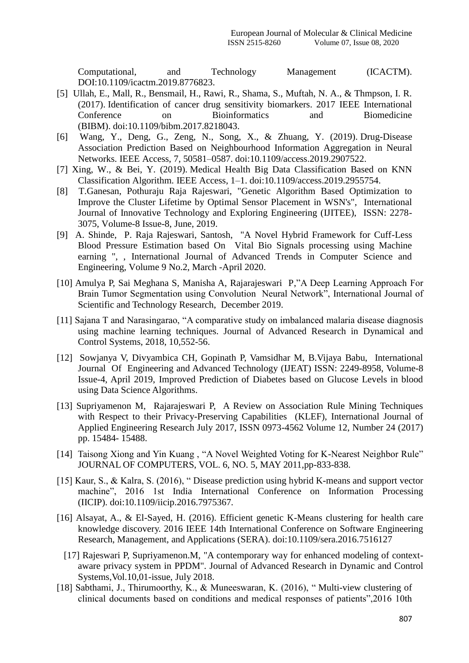Computational, and Technology Management (ICACTM). DOI:10.1109/icactm.2019.8776823.

- [5] Ullah, E., Mall, R., Bensmail, H., Rawi, R., Shama, S., Muftah, N. A., & Thmpson, I. R. (2017). Identification of cancer drug sensitivity biomarkers. 2017 IEEE International Conference on Bioinformatics and Biomedicine (BIBM). doi:10.1109/bibm.2017.8218043.
- [6] Wang, Y., Deng, G., Zeng, N., Song, X., & Zhuang, Y. (2019). Drug-Disease Association Prediction Based on Neighbourhood Information Aggregation in Neural Networks. IEEE Access, 7, 50581–0587. doi:10.1109/access.2019.2907522.
- [7] Xing, W., & Bei, Y. (2019). Medical Health Big Data Classification Based on KNN Classification Algorithm. IEEE Access, 1–1. doi:10.1109/access.2019.2955754.
- [8] T.Ganesan, Pothuraju Raja Rajeswari, "Genetic Algorithm Based Optimization to Improve the Cluster Lifetime by Optimal Sensor Placement in WSN's", International Journal of Innovative Technology and Exploring Engineering (IJITEE), ISSN: 2278- 3075, Volume-8 Issue-8, June, 2019.
- [9] A. Shinde, P. Raja Rajeswari, Santosh, "A Novel Hybrid Framework for Cuff-Less Blood Pressure Estimation based On Vital Bio Signals processing using Machine earning ", , International Journal of Advanced Trends in Computer Science and Engineering, Volume 9 No.2, March -April 2020.
- [10] Amulya P, Sai Meghana S, Manisha A, Rajarajeswari P,"A Deep Learning Approach For Brain Tumor Segmentation using Convolution Neural Network", International Journal of Scientific and Technology Research, December 2019.
- [11] Sajana T and Narasingarao, "A comparative study on imbalanced malaria disease diagnosis using machine learning techniques. Journal of Advanced Research in Dynamical and Control Systems, 2018, 10,552-56.
- [12]Sowjanya V, Divyambica CH, Gopinath P, Vamsidhar M, B.Vijaya Babu, International Journal Of Engineering and Advanced Technology (IJEAT) ISSN: 2249-8958, Volume-8 Issue-4, April 2019, Improved Prediction of Diabetes based on Glucose Levels in blood using Data Science Algorithms.
- [13] Supriyamenon M, Rajarajeswari P, A Review on Association Rule Mining Techniques with Respect to their Privacy-Preserving Capabilities (KLEF), International Journal of Applied Engineering Research July 2017, ISSN 0973-4562 Volume 12, Number 24 (2017) pp. 15484- 15488.
- [14] Taisong Xiong and Yin Kuang, "A Novel Weighted Voting for K-Nearest Neighbor Rule" JOURNAL OF COMPUTERS, VOL. 6, NO. 5, MAY 2011,pp-833-838.
- [15] Kaur, S., & Kalra, S. (2016), " Disease prediction using hybrid K-means and support vector machine", 2016 1st India International Conference on Information Processing (IICIP). doi:10.1109/iicip.2016.7975367*.*
- [16] Alsayat, A., & El-Sayed, H. (2016). Efficient genetic K-Means clustering for health care knowledge discovery. 2016 IEEE 14th International Conference on Software Engineering Research, Management, and Applications (SERA). doi:10.1109/sera.2016.7516127
	- [17] Rajeswari P, Supriyamenon.M, "A contemporary way for enhanced modeling of contextaware privacy system in PPDM". Journal of Advanced Research in Dynamic and Control Systems,Vol.10,01-issue, July 2018.
- [18] Sabthami, J., Thirumoorthy, K., & Muneeswaran, K. (2016), " Multi-view clustering of clinical documents based on conditions and medical responses of patients",2016 10th